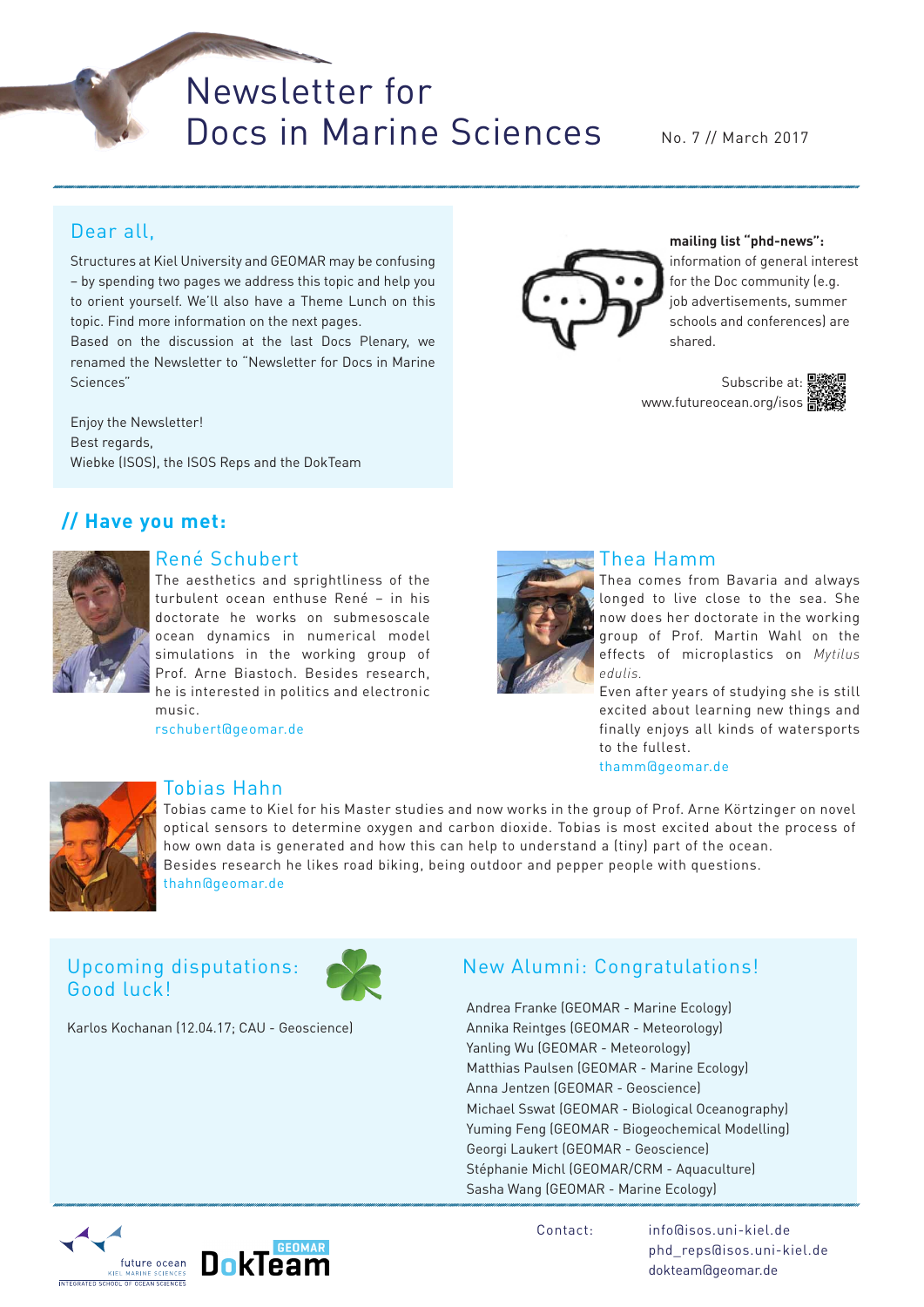Newsletter for Docs in Marine Sciences

No. 7 // March 2017

# Dear all,

Structures at Kiel University and GEOMAR may be confusing – by spending two pages we address this topic and help you to orient yourself. We'll also have a Theme Lunch on this topic. Find more information on the next pages.

Based on the discussion at the last Docs Plenary, we renamed the Newsletter to "Newsletter for Docs in Marine Sciences"

Enjoy the Newsletter! Best regards, Wiebke (ISOS), the ISOS Reps and the DokTeam

# **// Have you met:**



## René Schubert

The aesthetics and sprightliness of the turbulent ocean enthuse René – in his doctorate he works on submesoscale ocean dynamics in numerical model simulations in the working group of Prof. Arne Biastoch. Besides research, he is interested in politics and electronic music.

rschubert@geomar.de



### Thea Hamm

Thea comes from Bavaria and always longed to live close to the sea. She now does her doctorate in the working group of Prof. Martin Wahl on the effects of microplastics on *Mytilus edulis.*

Even after years of studying she is still excited about learning new things and finally enjoys all kinds of watersports to the fullest. thamm@geomar.de



## Tobias Hahn

Tobias came to Kiel for his Master studies and now works in the group of Prof. Arne Körtzinger on novel optical sensors to determine oxygen and carbon dioxide. Tobias is most excited about the process of how own data is generated and how this can help to understand a (tiny) part of the ocean. Besides research he likes road biking, being outdoor and pepper people with questions. thahn@geomar.de

# Upcoming disputations: Good luck!

Karlos Kochanan (12.04.17; CAU - Geoscience)



New Alumni: Congratulations!

Andrea Franke (GEOMAR - Marine Ecology) Annika Reintges (GEOMAR - Meteorology) Yanling Wu (GEOMAR - Meteorology) Matthias Paulsen (GEOMAR - Marine Ecology) Anna Jentzen (GEOMAR - Geoscience) Michael Sswat (GEOMAR - Biological Oceanography) Yuming Feng (GEOMAR - Biogeochemical Modelling) Georgi Laukert (GEOMAR - Geoscience) Stéphanie Michl (GEOMAR/CRM - Aquaculture) Sasha Wang (GEOMAR - Marine Ecology)





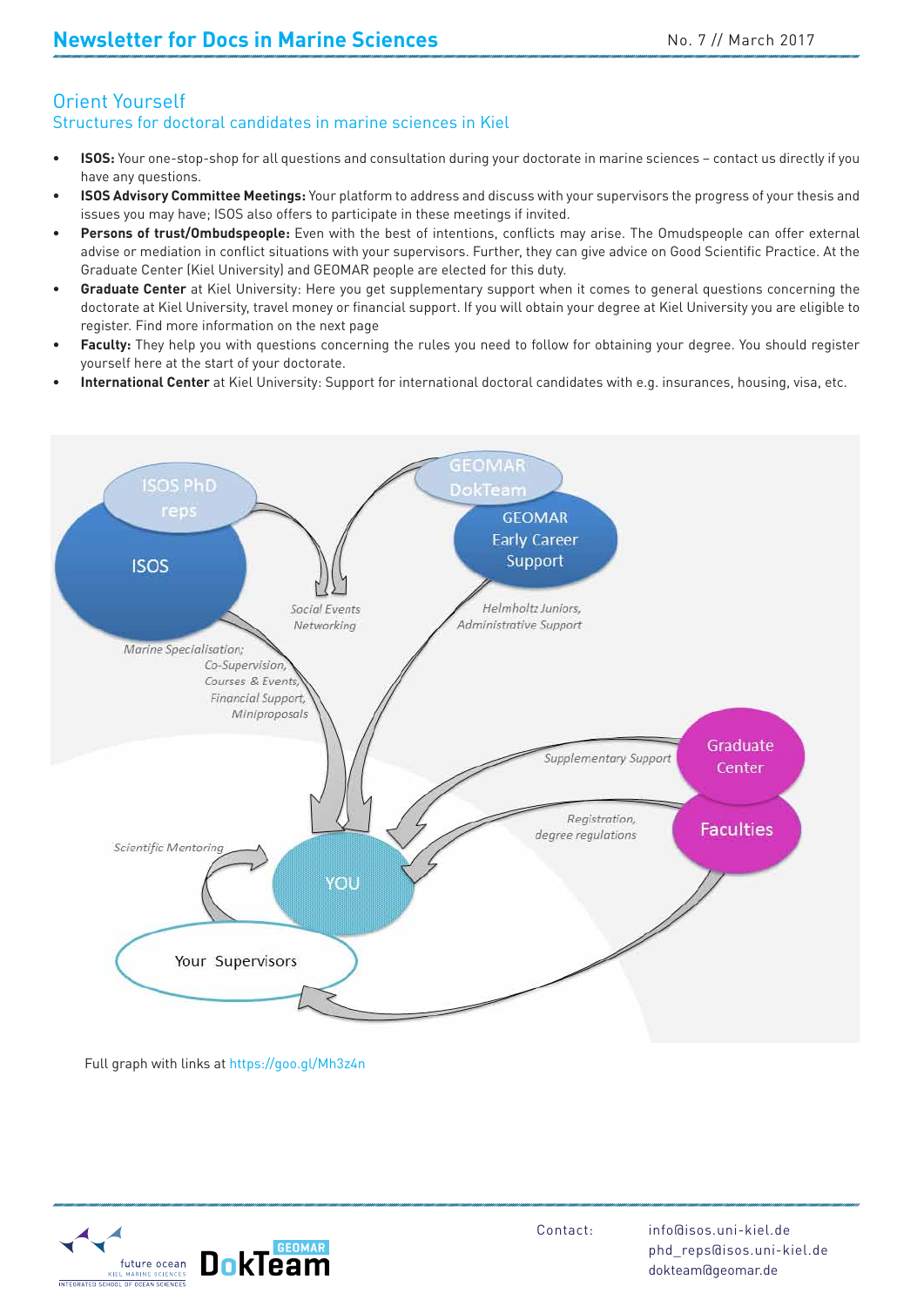#### Orient Yourself Structures for doctoral candidates in marine sciences in Kiel

- **ISOS:** Your one-stop-shop for all questions and consultation during your doctorate in marine sciences contact us directly if you have any questions.
- **ISOS Advisory Committee Meetings:** Your platform to address and discuss with your supervisors the progress of your thesis and issues you may have; ISOS also offers to participate in these meetings if invited.
- Persons of trust/Ombudspeople: Even with the best of intentions, conflicts may arise. The Omudspeople can offer external advise or mediation in conflict situations with your supervisors. Further, they can give advice on Good Scientific Practice. At the Graduate Center (Kiel University) and GEOMAR people are elected for this duty.
- **Graduate Center** at Kiel University: Here you get supplementary support when it comes to general questions concerning the doctorate at Kiel University, travel money or financial support. If you will obtain your degree at Kiel University you are eligible to register. Find more information on the next page
- Faculty: They help you with questions concerning the rules you need to follow for obtaining your degree. You should register yourself here at the start of your doctorate.
- International Center at Kiel University: Support for international doctoral candidates with e.g. insurances, housing, visa, etc.



Full graph with links at https://goo.gl/Mh3z4n

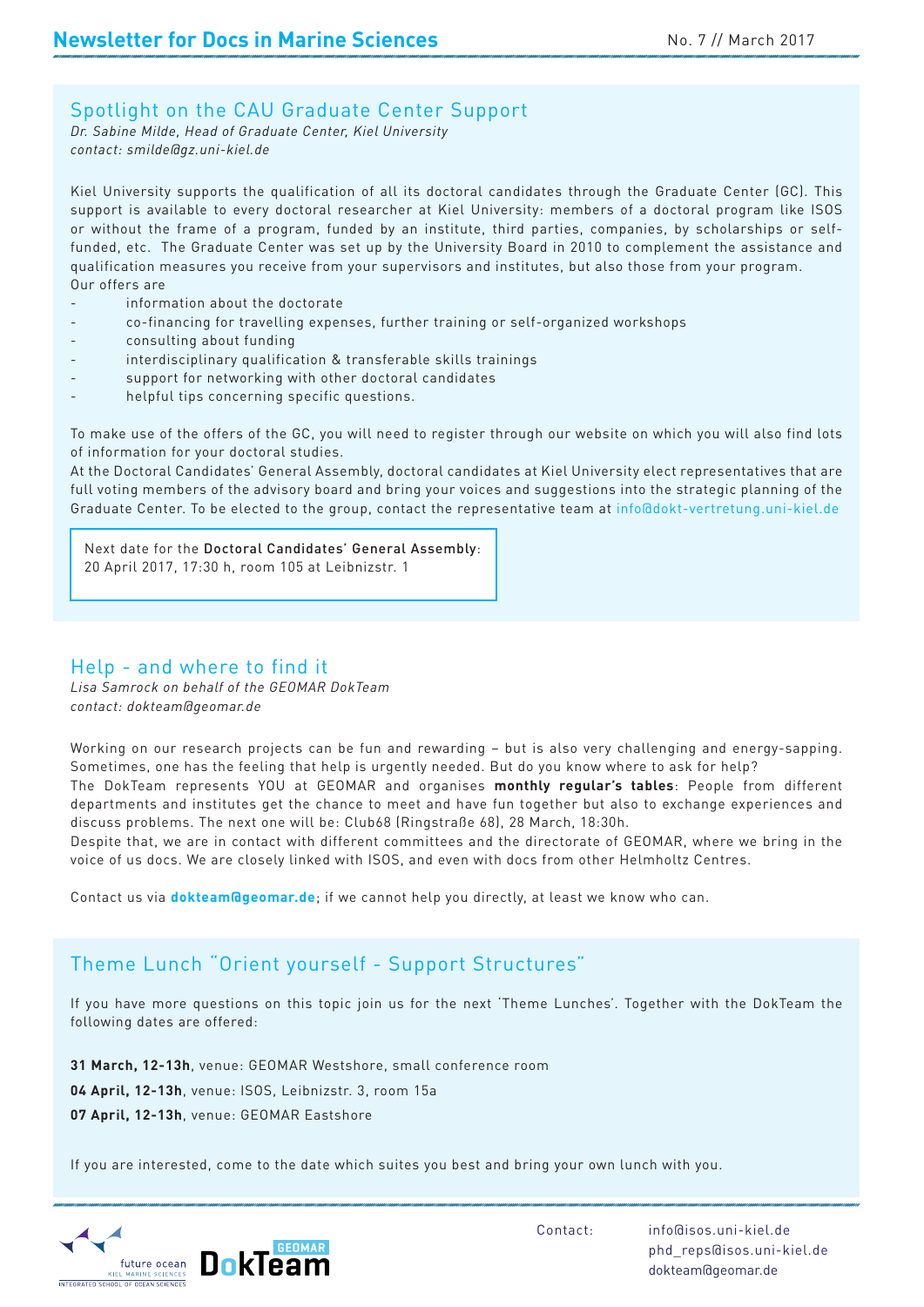## Spotlight on the CAU Graduate Center Support

*Dr. Sabine Milde, Head of Graduate Center, Kiel University contact: smilde@gz.uni-kiel.de*

Kiel University supports the qualification of all its doctoral candidates through the Graduate Center (GC). This support is available to every doctoral researcher at Kiel University: members of a doctoral program like ISOS or without the frame of a program, funded by an institute, third parties, companies, by scholarships or selffunded, etc. The Graduate Center was set up by the University Board in 2010 to complement the assistance and qualification measures you receive from your supervisors and institutes, but also those from your program. Our offers are

- information about the doctorate
- co-financing for travelling expenses, further training or self-organized workshops
- consulting about funding
- interdisciplinary qualification & transferable skills trainings
- support for networking with other doctoral candidates
- helpful tips concerning specific questions.

To make use of the offers of the GC, you will need to register through our website on which you will also find lots of information for your doctoral studies.

lots<br>t are<br>f the At the Doctoral Candidates' General Assembly, doctoral candidates at Kiel University elect representatives that are full voting members of the advisory board and bring your voices and suggestions into the strategic planning of the Graduate Center. To be elected to the group, contact the representative team at info@dokt-vertretung.uni-kiel.de

Next date for the Doctoral Candidates' General Assembly: 20 April 2017, 17:30 h, room 105 at Leibnizstr. 1

## Help - and where to find it

*Lisa Samrock on behalf of the GEOMAR DokTeam contact: dokteam@geomar.de*

Working on our research projects can be fun and rewarding – but is also very challenging and energy-sapping. Sometimes, one has the feeling that help is urgently needed. But do you know where to ask for help?

erent<br>and<br>and The DokTeam represents YOU at GEOMAR and organises **monthly regular's tables**: People from different departments and institutes get the chance to meet and have fun together but also to exchange experiences and discuss problems. The next one will be: Club68 (Ringstraße 68), 28 March, 18:30h.

Despite that, we are in contact with different committees and the directorate of GEOMAR, where we bring in the voice of us docs. We are closely linked with ISOS, and even with docs from other Helmholtz Centres.

Contact us via **dokteam@geomar.de**; if we cannot help you directly, at least we know who can.

# Theme Lunch "Orient yourself - Support Structures"

If you have more questions on this topic join us for the next 'Theme Lunches'. Together with the DokTeam the following dates are offered:

**31 March, 12-13h**, venue: GEOMAR Westshore, small conference room **04 April, 12-13h**, venue: ISOS, Leibnizstr. 3, room 15a

**07 April, 12-13h**, venue: GEOMAR Eastshore

If you are interested, come to the date which suites you best and bring your own lunch with you.

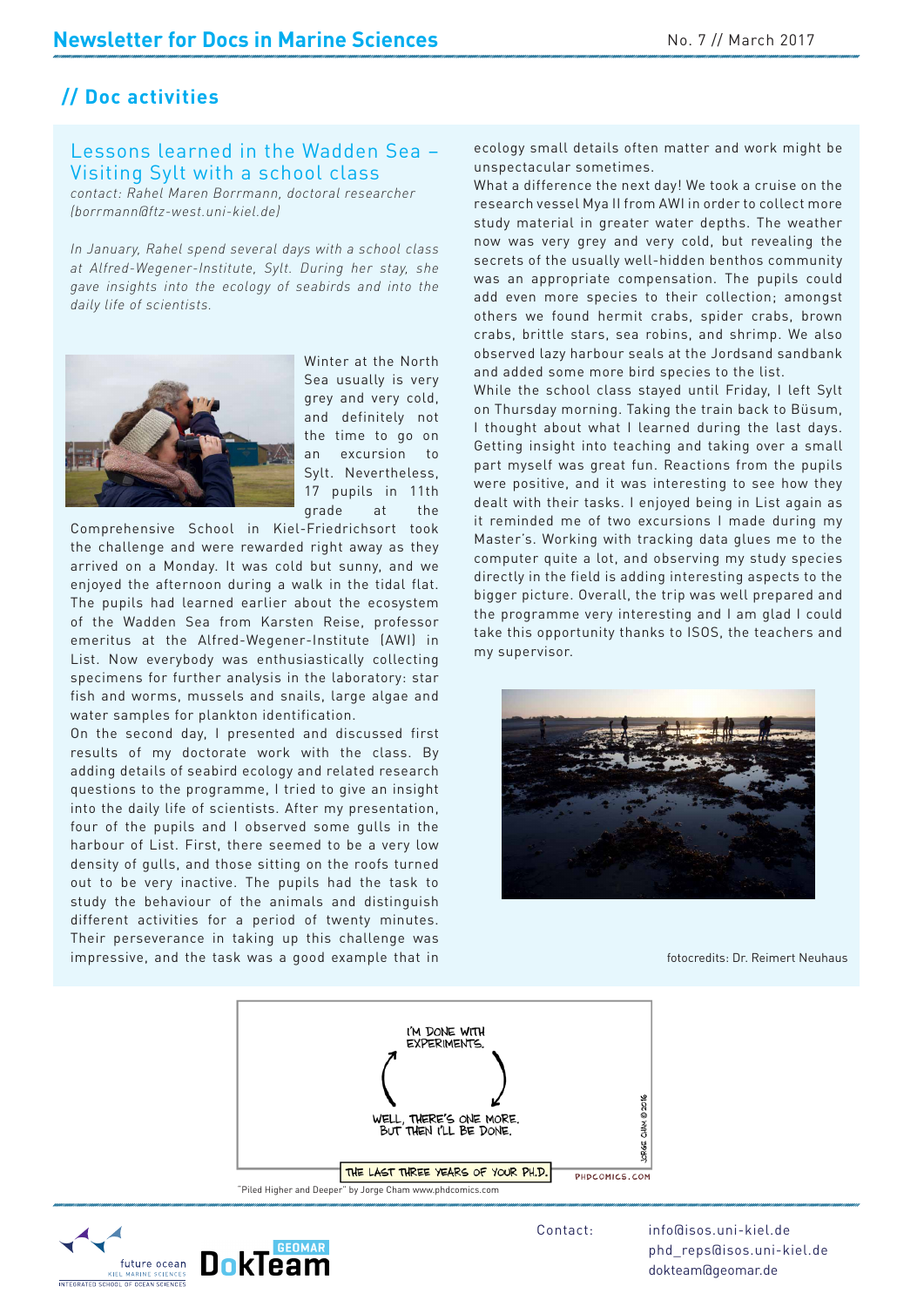# **// Doc activities**

## Lessons learned in the Wadden Sea – Visiting Sylt with a school class

*contact: Rahel Maren Borrmann, doctoral researcher (borrmann@ftz-west.uni-kiel.de)* 

*In January, Rahel spend several days with a school class at Alfred-Wegener-Institute, Sylt. During her stay, she gave insights into the ecology of seabirds and into the daily life of scientists.* 



Winter at the North Sea usually is very grey and very cold, and definitely not the time to go on an excursion to Sylt. Nevertheless, 17 pupils in 11th grade at the

Comprehensive School in Kiel-Friedrichsort took the challenge and were rewarded right away as they arrived on a Monday. It was cold but sunny, and we enjoyed the afternoon during a walk in the tidal flat. The pupils had learned earlier about the ecosystem of the Wadden Sea from Karsten Reise, professor emeritus at the Alfred-Wegener-Institute (AWI) in List. Now everybody was enthusiastically collecting specimens for further analysis in the laboratory: star fish and worms, mussels and snails, large algae and water samples for plankton identification.

On the second day, I presented and discussed first results of my doctorate work with the class. By adding details of seabird ecology and related research questions to the programme, I tried to give an insight into the daily life of scientists. After my presentation, four of the pupils and I observed some gulls in the harbour of List. First, there seemed to be a very low density of gulls, and those sitting on the roofs turned out to be very inactive. The pupils had the task to study the behaviour of the animals and distinguish different activities for a period of twenty minutes. Their perseverance in taking up this challenge was impressive, and the task was a good example that in

ecology small details often matter and work might be unspectacular sometimes.

What a difference the next day! We took a cruise on the research vessel Mya II from AWI in order to collect more study material in greater water depths. The weather now was very grey and very cold, but revealing the secrets of the usually well-hidden benthos community was an appropriate compensation. The pupils could add even more species to their collection; amongst others we found hermit crabs, spider crabs, brown crabs, brittle stars, sea robins, and shrimp. We also observed lazy harbour seals at the Jordsand sandbank and added some more bird species to the list.

sum,<br>days.<br>mall<br>upils<br>they While the school class stayed until Friday, I left Sylt on Thursday morning. Taking the train back to Büsum, I thought about what I learned during the last days. Getting insight into teaching and taking over a small part myself was great fun. Reactions from the pupils were positive, and it was interesting to see how they dealt with their tasks. I enjoyed being in List again as it reminded me of two excursions I made during my Master's. Working with tracking data glues me to the computer quite a lot, and observing my study species directly in the field is adding interesting aspects to the bigger picture. Overall, the trip was well prepared and the programme very interesting and I am glad I could take this opportunity thanks to ISOS, the teachers and my supervisor.



fotocredits: Dr. Reimert Neuhaus



future ocean MARINE SCIENCE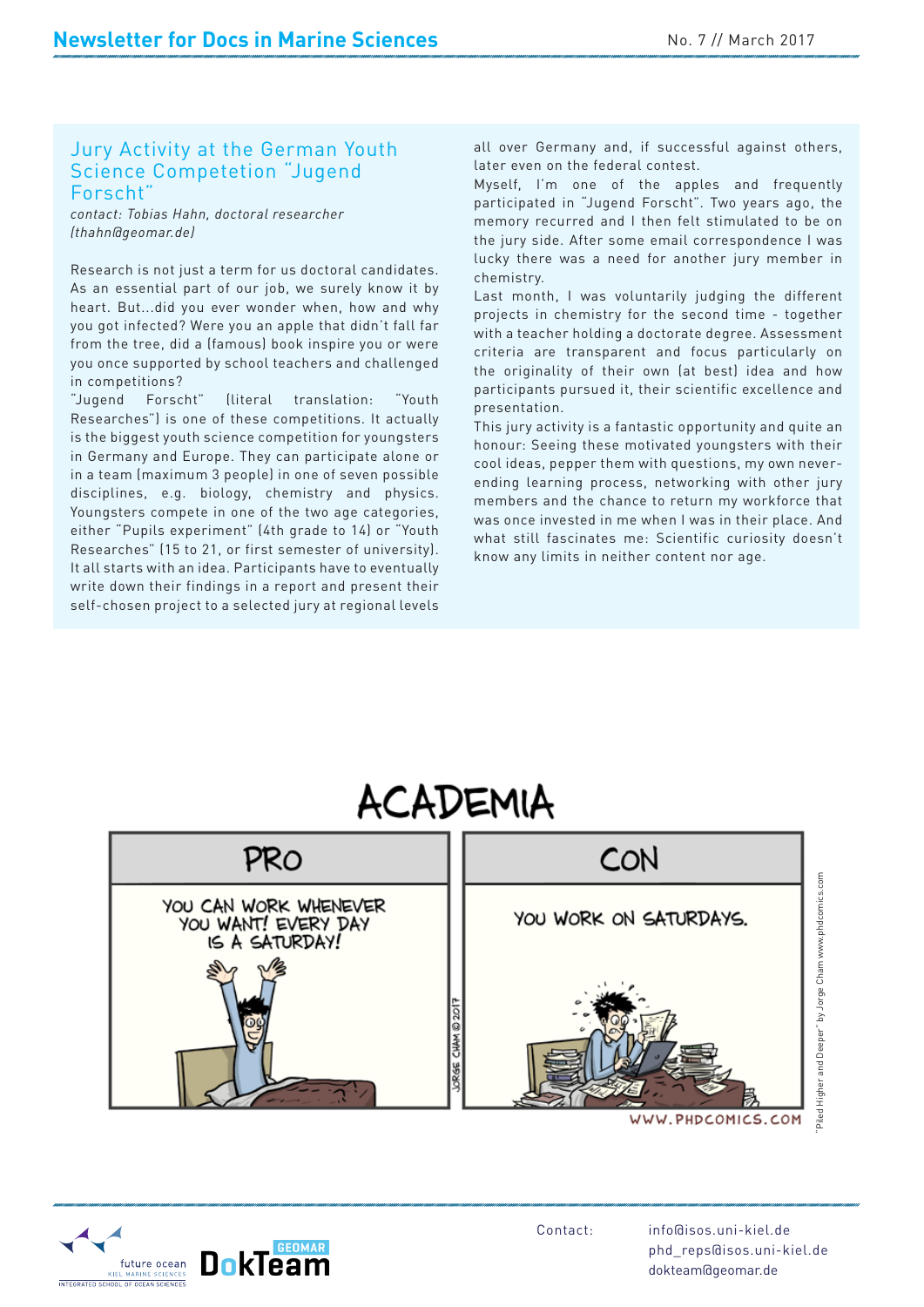#### Jury Activity at the German Youth Science Competetion "Jugend Forscht"

*contact: Tobias Hahn, doctoral researcher (thahn@geomar.de)*

Research is not just a term for us doctoral candidates. As an essential part of our job, we surely know it by heart. But...did you ever wonder when, how and why you got infected? Were you an apple that didn't fall far from the tree, did a (famous) book inspire you or were you once supported by school teachers and challenged in competitions?

"Jugend Forscht" (literal translation: "Youth Researches") is one of these competitions. It actually is the biggest youth science competition for youngsters in Germany and Europe. They can participate alone or in a team (maximum 3 people) in one of seven possible disciplines, e.g. biology, chemistry and physics. Youngsters compete in one of the two age categories, either "Pupils experiment" (4th grade to 14) or "Youth Researches" (15 to 21, or first semester of university). It all starts with an idea. Participants have to eventually write down their findings in a report and present their self-chosen project to a selected jury at regional levels

all over Germany and, if successful against others, later even on the federal contest.

Myself, I'm one of the apples and frequently participated in "Jugend Forscht". Two years ago, the memory recurred and I then felt stimulated to be on the jury side. After some email correspondence I was lucky there was a need for another jury member in chemistry.

Last month, I was voluntarily judging the different projects in chemistry for the second time - together with a teacher holding a doctorate degree. Assessment criteria are transparent and focus particularly on the originality of their own (at best) idea and how participants pursued it, their scientific excellence and presentation.

te an<br>their<br>jury<br>thet This jury activity is a fantastic opportunity and quite an honour: Seeing these motivated youngsters with their cool ideas, pepper them with questions, my own neverending learning process, networking with other jury members and the chance to return my workforce that was once invested in me when I was in their place. And what still fascinates me: Scientific curiosity doesn't know any limits in neither content nor age.

# ACADEMIA



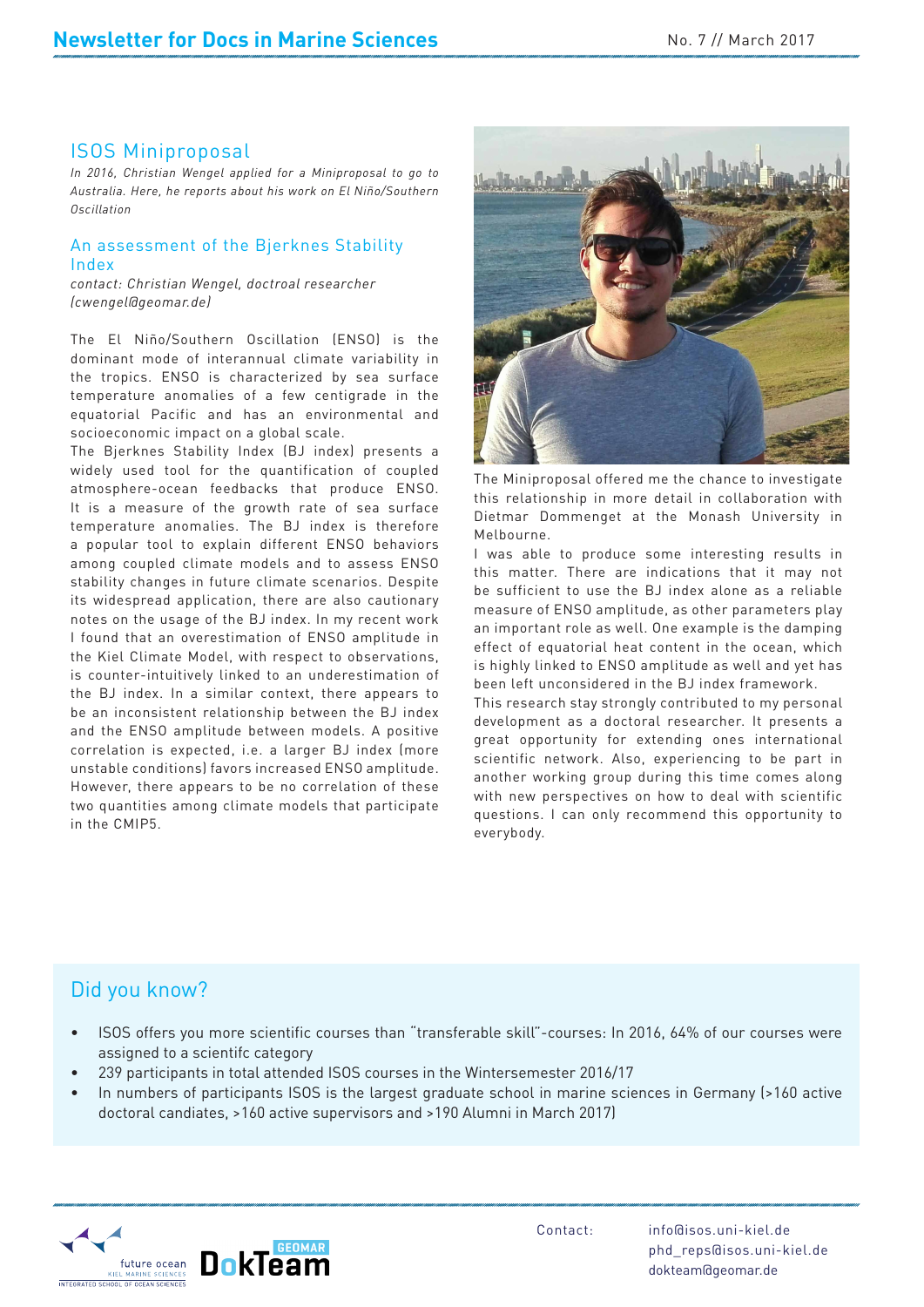## ISOS Miniproposal

*In 2016, Christian Wengel applied for a Miniproposal to go to Australia. Here, he reports about his work on El Niño/Southern Oscillation*

#### An assessment of the Bjerknes Stability Index

*contact: Christian Wengel, doctroal researcher (cwengel@geomar.de)*

The El Niño/Southern Oscillation (ENSO) is the dominant mode of interannual climate variability in the tropics. ENSO is characterized by sea surface temperature anomalies of a few centigrade in the equatorial Pacific and has an environmental and socioeconomic impact on a global scale.

The Bjerknes Stability Index (BJ index) presents a widely used tool for the quantification of coupled atmosphere-ocean feedbacks that produce ENSO. It is a measure of the growth rate of sea surface temperature anomalies. The BJ index is therefore a popular tool to explain different ENSO behaviors among coupled climate models and to assess ENSO stability changes in future climate scenarios. Despite its widespread application, there are also cautionary notes on the usage of the BJ index. In my recent work I found that an overestimation of ENSO amplitude in the Kiel Climate Model, with respect to observations, is counter-intuitively linked to an underestimation of the BJ index. In a similar context, there appears to be an inconsistent relationship between the BJ index and the ENSO amplitude between models. A positive correlation is expected, i.e. a larger BJ index (more unstable conditions) favors increased ENSO amplitude. However, there appears to be no correlation of these two quantities among climate models that participate in the CMIP5.



The Miniproposal offered me the chance to investigate this relationship in more detail in collaboration with Dietmar Dommenget at the Monash University in Melbourne.

I was able to produce some interesting results in this matter. There are indications that it may not be sufficient to use the BJ index alone as a reliable measure of ENSO amplitude, as other parameters play an important role as well. One example is the damping effect of equatorial heat content in the ocean, which is highly linked to ENSO amplitude as well and yet has been left unconsidered in the BJ index framework.

rt in<br>long<br>tific<br>ty to This research stay strongly contributed to my personal development as a doctoral researcher. It presents a great opportunity for extending ones international scientific network. Also, experiencing to be part in another working group during this time comes along with new perspectives on how to deal with scientific questions. I can only recommend this opportunity to everybody.

# Did you know?

- ISOS offers you more scientific courses than "transferable skill"-courses: In 2016, 64% of our courses were assigned to a scientifc category
- 239 participants in total attended ISOS courses in the Wintersemester 2016/17
- In numbers of participants ISOS is the largest graduate school in marine sciences in Germany (>160 active doctoral candiates, >160 active supervisors and >190 Alumni in March 2017)